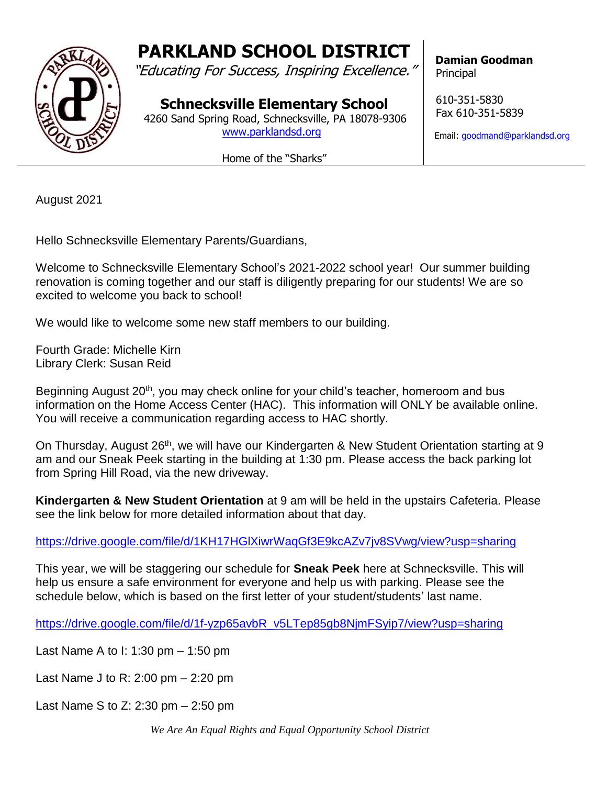## **PARKLAND SCHOOL DISTRICT**

"Educating For Success, Inspiring Excellence."

**Schnecksville Elementary School** 4260 Sand Spring Road, Schnecksville, PA 18078-9306

[www.parklandsd.org](http://www.parklandsd.org/)

Home of the "Sharks"

 **Damian Goodman Principal** 

 610-351-5830 Fax 610-351-5839

Email: [goodmand@parklandsd.org](mailto:goodmand@parklandsd.org)

August 2021

Hello Schnecksville Elementary Parents/Guardians,

Welcome to Schnecksville Elementary School's 2021-2022 school year! Our summer building renovation is coming together and our staff is diligently preparing for our students! We are so excited to welcome you back to school!

We would like to welcome some new staff members to our building.

Fourth Grade: Michelle Kirn Library Clerk: Susan Reid

Beginning August 20<sup>th</sup>, you may check online for your child's teacher, homeroom and bus information on the Home Access Center (HAC). This information will ONLY be available online. You will receive a communication regarding access to HAC shortly.

On Thursday, August 26<sup>th</sup>, we will have our Kindergarten & New Student Orientation starting at 9 am and our Sneak Peek starting in the building at 1:30 pm. Please access the back parking lot from Spring Hill Road, via the new driveway.

**Kindergarten & New Student Orientation** at 9 am will be held in the upstairs Cafeteria. Please see the link below for more detailed information about that day.

<https://drive.google.com/file/d/1KH17HGlXiwrWaqGf3E9kcAZv7jv8SVwg/view?usp=sharing>

This year, we will be staggering our schedule for **Sneak Peek** here at Schnecksville. This will help us ensure a safe environment for everyone and help us with parking. Please see the schedule below, which is based on the first letter of your student/students' last name.

[https://drive.google.com/file/d/1f-yzp65avbR\\_v5LTep85gb8NjmFSyip7/view?usp=sharing](https://drive.google.com/file/d/1f-yzp65avbR_v5LTep85gb8NjmFSyip7/view?usp=sharing)

Last Name A to I: 1:30 pm – 1:50 pm

Last Name J to R: 2:00 pm – 2:20 pm

Last Name S to Z: 2:30 pm – 2:50 pm

*We Are An Equal Rights and Equal Opportunity School District*